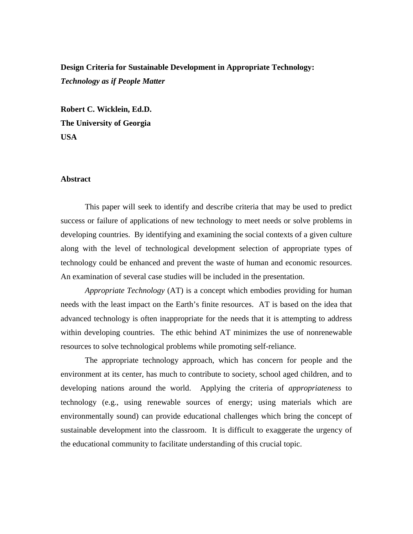# **Design Criteria for Sustainable Development in Appropriate Technology:** *Technology as if People Matter*

**Robert C. Wicklein, Ed.D. The University of Georgia USA**

### **Abstract**

This paper will seek to identify and describe criteria that may be used to predict success or failure of applications of new technology to meet needs or solve problems in developing countries. By identifying and examining the social contexts of a given culture along with the level of technological development selection of appropriate types of technology could be enhanced and prevent the waste of human and economic resources. An examination of several case studies will be included in the presentation.

*Appropriate Technology* (AT) is a concept which embodies providing for human needs with the least impact on the Earth's finite resources. AT is based on the idea that advanced technology is often inappropriate for the needs that it is attempting to address within developing countries. The ethic behind AT minimizes the use of nonrenewable resources to solve technological problems while promoting self-reliance.

The appropriate technology approach, which has concern for people and the environment at its center, has much to contribute to society, school aged children, and to developing nations around the world. Applying the criteria of *appropriateness* to technology (e.g., using renewable sources of energy; using materials which are environmentally sound) can provide educational challenges which bring the concept of sustainable development into the classroom. It is difficult to exaggerate the urgency of the educational community to facilitate understanding of this crucial topic.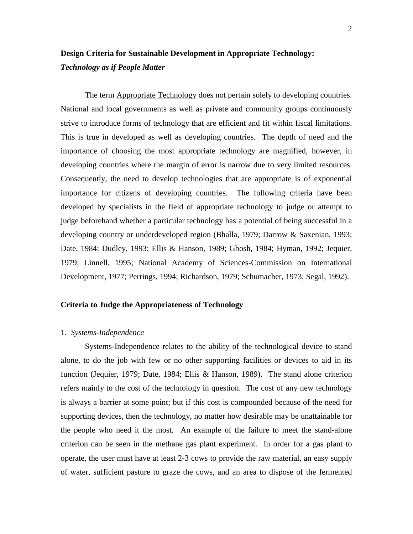# **Design Criteria for Sustainable Development in Appropriate Technology:** *Technology as if People Matter*

The term Appropriate Technology does not pertain solely to developing countries. National and local governments as well as private and community groups continuously strive to introduce forms of technology that are efficient and fit within fiscal limitations. This is true in developed as well as developing countries. The depth of need and the importance of choosing the most appropriate technology are magnified, however, in developing countries where the margin of error is narrow due to very limited resources. Consequently, the need to develop technologies that are appropriate is of exponential importance for citizens of developing countries. The following criteria have been developed by specialists in the field of appropriate technology to judge or attempt to judge beforehand whether a particular technology has a potential of being successful in a developing country or underdeveloped region (Bhalla, 1979; Darrow & Saxenian, 1993; Date, 1984; Dudley, 1993; Ellis & Hanson, 1989; Ghosh, 1984; Hyman, 1992; Jequier, 1979; Linnell, 1995; National Academy of Sciences-Commission on International Development, 1977; Perrings, 1994; Richardson, 1979; Schumacher, 1973; Segal, 1992).

### **Criteria to Judge the Appropriateness of Technology**

## 1. *Systems-Independence*

Systems-Independence relates to the ability of the technological device to stand alone, to do the job with few or no other supporting facilities or devices to aid in its function (Jequier, 1979; Date, 1984; Ellis & Hanson, 1989). The stand alone criterion refers mainly to the cost of the technology in question. The cost of any new technology is always a barrier at some point; but if this cost is compounded because of the need for supporting devices, then the technology, no matter how desirable may be unattainable for the people who need it the most. An example of the failure to meet the stand-alone criterion can be seen in the methane gas plant experiment. In order for a gas plant to operate, the user must have at least 2-3 cows to provide the raw material, an easy supply of water, sufficient pasture to graze the cows, and an area to dispose of the fermented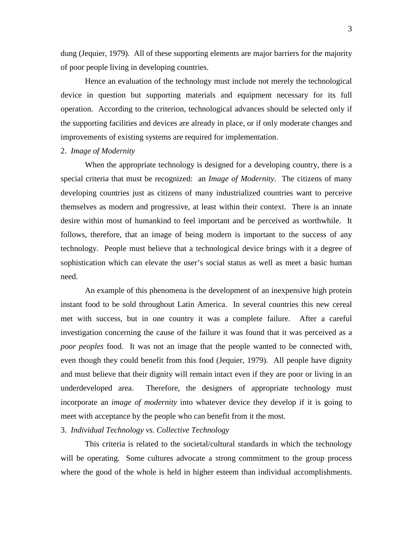dung (Jequier, 1979). All of these supporting elements are major barriers for the majority of poor people living in developing countries.

Hence an evaluation of the technology must include not merely the technological device in question but supporting materials and equipment necessary for its full operation. According to the criterion, technological advances should be selected only if the supporting facilities and devices are already in place, or if only moderate changes and improvements of existing systems are required for implementation.

#### 2. *Image of Modernity*

When the appropriate technology is designed for a developing country, there is a special criteria that must be recognized: an *Image of Modernity*. The citizens of many developing countries just as citizens of many industrialized countries want to perceive themselves as modern and progressive, at least within their context. There is an innate desire within most of humankind to feel important and be perceived as worthwhile. It follows, therefore, that an image of being modern is important to the success of any technology. People must believe that a technological device brings with it a degree of sophistication which can elevate the user's social status as well as meet a basic human need.

An example of this phenomena is the development of an inexpensive high protein instant food to be sold throughout Latin America. In several countries this new cereal met with success, but in one country it was a complete failure. After a careful investigation concerning the cause of the failure it was found that it was perceived as a *poor peoples* food. It was not an image that the people wanted to be connected with, even though they could benefit from this food (Jequier, 1979). All people have dignity and must believe that their dignity will remain intact even if they are poor or living in an underdeveloped area. Therefore, the designers of appropriate technology must incorporate an *image of modernity* into whatever device they develop if it is going to meet with acceptance by the people who can benefit from it the most.

# 3. *Individual Technology vs. Collective Technology*

This criteria is related to the societal/cultural standards in which the technology will be operating. Some cultures advocate a strong commitment to the group process where the good of the whole is held in higher esteem than individual accomplishments.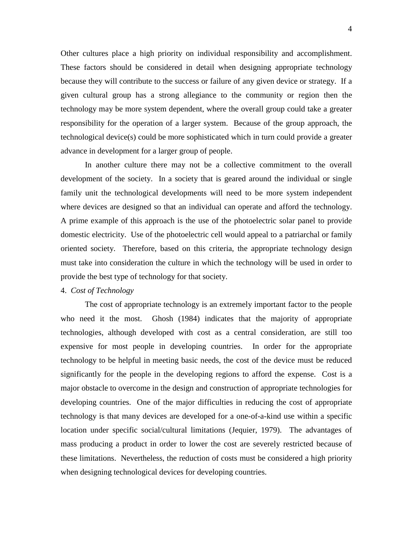Other cultures place a high priority on individual responsibility and accomplishment. These factors should be considered in detail when designing appropriate technology because they will contribute to the success or failure of any given device or strategy. If a given cultural group has a strong allegiance to the community or region then the technology may be more system dependent, where the overall group could take a greater responsibility for the operation of a larger system. Because of the group approach, the technological device(s) could be more sophisticated which in turn could provide a greater advance in development for a larger group of people.

In another culture there may not be a collective commitment to the overall development of the society. In a society that is geared around the individual or single family unit the technological developments will need to be more system independent where devices are designed so that an individual can operate and afford the technology. A prime example of this approach is the use of the photoelectric solar panel to provide domestic electricity. Use of the photoelectric cell would appeal to a patriarchal or family oriented society. Therefore, based on this criteria, the appropriate technology design must take into consideration the culture in which the technology will be used in order to provide the best type of technology for that society.

# 4. *Cost of Technology*

The cost of appropriate technology is an extremely important factor to the people who need it the most. Ghosh (1984) indicates that the majority of appropriate technologies, although developed with cost as a central consideration, are still too expensive for most people in developing countries. In order for the appropriate technology to be helpful in meeting basic needs, the cost of the device must be reduced significantly for the people in the developing regions to afford the expense. Cost is a major obstacle to overcome in the design and construction of appropriate technologies for developing countries. One of the major difficulties in reducing the cost of appropriate technology is that many devices are developed for a one-of-a-kind use within a specific location under specific social/cultural limitations (Jequier, 1979). The advantages of mass producing a product in order to lower the cost are severely restricted because of these limitations. Nevertheless, the reduction of costs must be considered a high priority when designing technological devices for developing countries.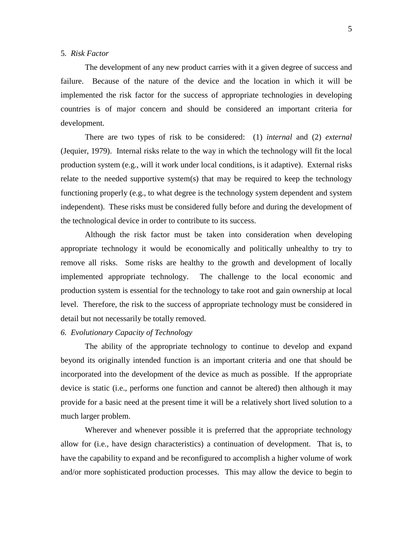# 5*. Risk Factor*

The development of any new product carries with it a given degree of success and failure. Because of the nature of the device and the location in which it will be implemented the risk factor for the success of appropriate technologies in developing countries is of major concern and should be considered an important criteria for development.

There are two types of risk to be considered: (1) *internal* and (2) *external* (Jequier, 1979). Internal risks relate to the way in which the technology will fit the local production system (e.g., will it work under local conditions, is it adaptive). External risks relate to the needed supportive system(s) that may be required to keep the technology functioning properly (e.g., to what degree is the technology system dependent and system independent). These risks must be considered fully before and during the development of the technological device in order to contribute to its success.

Although the risk factor must be taken into consideration when developing appropriate technology it would be economically and politically unhealthy to try to remove all risks. Some risks are healthy to the growth and development of locally implemented appropriate technology. The challenge to the local economic and production system is essential for the technology to take root and gain ownership at local level. Therefore, the risk to the success of appropriate technology must be considered in detail but not necessarily be totally removed.

# *6. Evolutionary Capacity of Technology*

The ability of the appropriate technology to continue to develop and expand beyond its originally intended function is an important criteria and one that should be incorporated into the development of the device as much as possible. If the appropriate device is static (i.e., performs one function and cannot be altered) then although it may provide for a basic need at the present time it will be a relatively short lived solution to a much larger problem.

Wherever and whenever possible it is preferred that the appropriate technology allow for (i.e., have design characteristics) a continuation of development. That is, to have the capability to expand and be reconfigured to accomplish a higher volume of work and/or more sophisticated production processes. This may allow the device to begin to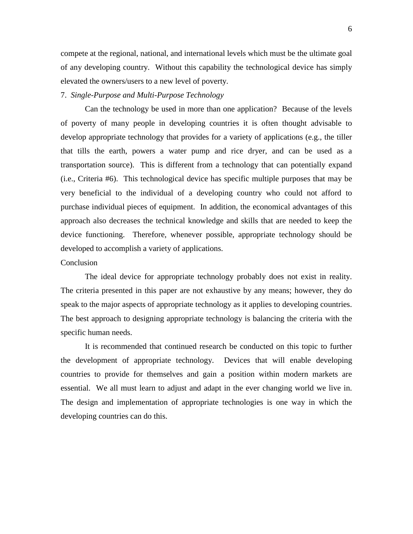compete at the regional, national, and international levels which must be the ultimate goal of any developing country. Without this capability the technological device has simply elevated the owners/users to a new level of poverty.

#### 7. *Single-Purpose and Multi-Purpose Technology*

Can the technology be used in more than one application? Because of the levels of poverty of many people in developing countries it is often thought advisable to develop appropriate technology that provides for a variety of applications (e.g., the tiller that tills the earth, powers a water pump and rice dryer, and can be used as a transportation source). This is different from a technology that can potentially expand (i.e., Criteria #6). This technological device has specific multiple purposes that may be very beneficial to the individual of a developing country who could not afford to purchase individual pieces of equipment. In addition, the economical advantages of this approach also decreases the technical knowledge and skills that are needed to keep the device functioning. Therefore, whenever possible, appropriate technology should be developed to accomplish a variety of applications.

# Conclusion

The ideal device for appropriate technology probably does not exist in reality. The criteria presented in this paper are not exhaustive by any means; however, they do speak to the major aspects of appropriate technology as it applies to developing countries. The best approach to designing appropriate technology is balancing the criteria with the specific human needs.

It is recommended that continued research be conducted on this topic to further the development of appropriate technology. Devices that will enable developing countries to provide for themselves and gain a position within modern markets are essential. We all must learn to adjust and adapt in the ever changing world we live in. The design and implementation of appropriate technologies is one way in which the developing countries can do this.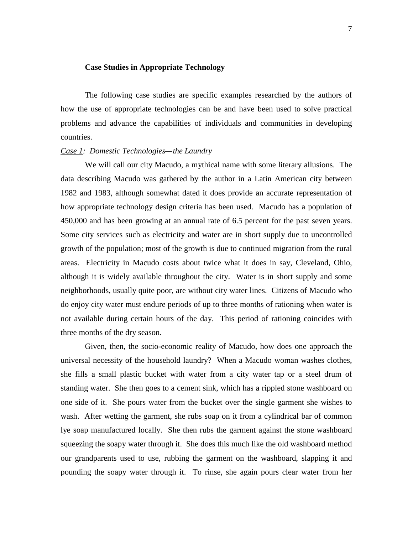### **Case Studies in Appropriate Technology**

The following case studies are specific examples researched by the authors of how the use of appropriate technologies can be and have been used to solve practical problems and advance the capabilities of individuals and communities in developing countries.

## *Case 1: Domestic Technologies—the Laundry*

We will call our city Macudo, a mythical name with some literary allusions. The data describing Macudo was gathered by the author in a Latin American city between 1982 and 1983, although somewhat dated it does provide an accurate representation of how appropriate technology design criteria has been used. Macudo has a population of 450,000 and has been growing at an annual rate of 6.5 percent for the past seven years. Some city services such as electricity and water are in short supply due to uncontrolled growth of the population; most of the growth is due to continued migration from the rural areas. Electricity in Macudo costs about twice what it does in say, Cleveland, Ohio, although it is widely available throughout the city. Water is in short supply and some neighborhoods, usually quite poor, are without city water lines. Citizens of Macudo who do enjoy city water must endure periods of up to three months of rationing when water is not available during certain hours of the day. This period of rationing coincides with three months of the dry season.

Given, then, the socio-economic reality of Macudo, how does one approach the universal necessity of the household laundry? When a Macudo woman washes clothes, she fills a small plastic bucket with water from a city water tap or a steel drum of standing water. She then goes to a cement sink, which has a rippled stone washboard on one side of it. She pours water from the bucket over the single garment she wishes to wash. After wetting the garment, she rubs soap on it from a cylindrical bar of common lye soap manufactured locally. She then rubs the garment against the stone washboard squeezing the soapy water through it. She does this much like the old washboard method our grandparents used to use, rubbing the garment on the washboard, slapping it and pounding the soapy water through it. To rinse, she again pours clear water from her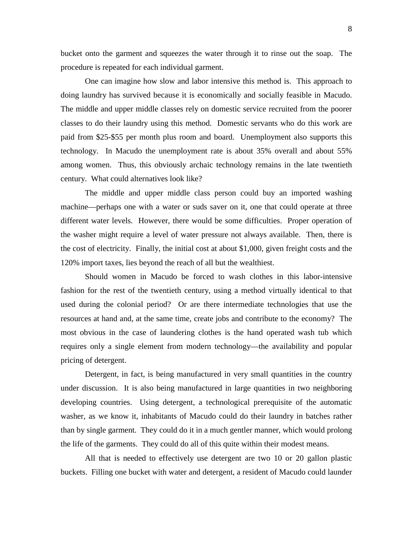bucket onto the garment and squeezes the water through it to rinse out the soap. The procedure is repeated for each individual garment.

One can imagine how slow and labor intensive this method is. This approach to doing laundry has survived because it is economically and socially feasible in Macudo. The middle and upper middle classes rely on domestic service recruited from the poorer classes to do their laundry using this method. Domestic servants who do this work are paid from \$25-\$55 per month plus room and board. Unemployment also supports this technology. In Macudo the unemployment rate is about 35% overall and about 55% among women. Thus, this obviously archaic technology remains in the late twentieth century. What could alternatives look like?

The middle and upper middle class person could buy an imported washing machine—perhaps one with a water or suds saver on it, one that could operate at three different water levels. However, there would be some difficulties. Proper operation of the washer might require a level of water pressure not always available. Then, there is the cost of electricity. Finally, the initial cost at about \$1,000, given freight costs and the 120% import taxes, lies beyond the reach of all but the wealthiest.

Should women in Macudo be forced to wash clothes in this labor-intensive fashion for the rest of the twentieth century, using a method virtually identical to that used during the colonial period? Or are there intermediate technologies that use the resources at hand and, at the same time, create jobs and contribute to the economy? The most obvious in the case of laundering clothes is the hand operated wash tub which requires only a single element from modern technology—the availability and popular pricing of detergent.

Detergent, in fact, is being manufactured in very small quantities in the country under discussion. It is also being manufactured in large quantities in two neighboring developing countries. Using detergent, a technological prerequisite of the automatic washer, as we know it, inhabitants of Macudo could do their laundry in batches rather than by single garment. They could do it in a much gentler manner, which would prolong the life of the garments. They could do all of this quite within their modest means.

All that is needed to effectively use detergent are two 10 or 20 gallon plastic buckets. Filling one bucket with water and detergent, a resident of Macudo could launder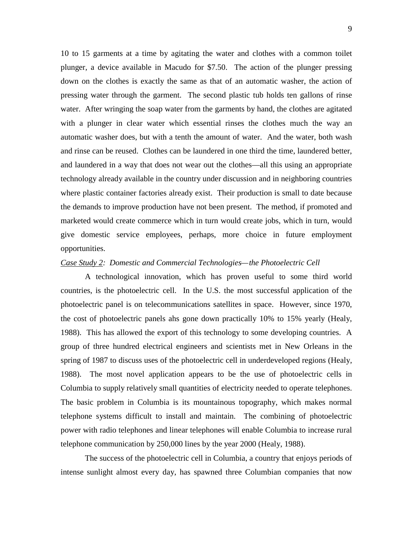10 to 15 garments at a time by agitating the water and clothes with a common toilet plunger, a device available in Macudo for \$7.50. The action of the plunger pressing down on the clothes is exactly the same as that of an automatic washer, the action of pressing water through the garment. The second plastic tub holds ten gallons of rinse water. After wringing the soap water from the garments by hand, the clothes are agitated with a plunger in clear water which essential rinses the clothes much the way an automatic washer does, but with a tenth the amount of water. And the water, both wash and rinse can be reused. Clothes can be laundered in one third the time, laundered better, and laundered in a way that does not wear out the clothes—all this using an appropriate technology already available in the country under discussion and in neighboring countries where plastic container factories already exist. Their production is small to date because the demands to improve production have not been present. The method, if promoted and marketed would create commerce which in turn would create jobs, which in turn, would give domestic service employees, perhaps, more choice in future employment opportunities.

### *Case Study 2: Domestic and Commercial Technologies—the Photoelectric Cell*

A technological innovation, which has proven useful to some third world countries, is the photoelectric cell. In the U.S. the most successful application of the photoelectric panel is on telecommunications satellites in space. However, since 1970, the cost of photoelectric panels ahs gone down practically 10% to 15% yearly (Healy, 1988). This has allowed the export of this technology to some developing countries. A group of three hundred electrical engineers and scientists met in New Orleans in the spring of 1987 to discuss uses of the photoelectric cell in underdeveloped regions (Healy, 1988). The most novel application appears to be the use of photoelectric cells in Columbia to supply relatively small quantities of electricity needed to operate telephones. The basic problem in Columbia is its mountainous topography, which makes normal telephone systems difficult to install and maintain. The combining of photoelectric power with radio telephones and linear telephones will enable Columbia to increase rural telephone communication by 250,000 lines by the year 2000 (Healy, 1988).

The success of the photoelectric cell in Columbia, a country that enjoys periods of intense sunlight almost every day, has spawned three Columbian companies that now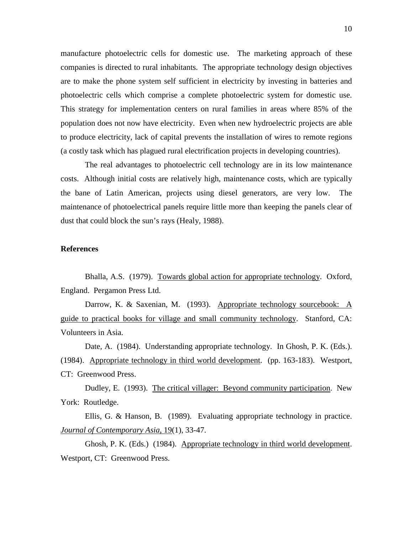manufacture photoelectric cells for domestic use. The marketing approach of these companies is directed to rural inhabitants. The appropriate technology design objectives are to make the phone system self sufficient in electricity by investing in batteries and photoelectric cells which comprise a complete photoelectric system for domestic use. This strategy for implementation centers on rural families in areas where 85% of the population does not now have electricity. Even when new hydroelectric projects are able to produce electricity, lack of capital prevents the installation of wires to remote regions (a costly task which has plagued rural electrification projects in developing countries).

The real advantages to photoelectric cell technology are in its low maintenance costs. Although initial costs are relatively high, maintenance costs, which are typically the bane of Latin American, projects using diesel generators, are very low. The maintenance of photoelectrical panels require little more than keeping the panels clear of dust that could block the sun's rays (Healy, 1988).

# **References**

Bhalla, A.S. (1979). Towards global action for appropriate technology. Oxford, England. Pergamon Press Ltd.

Darrow, K. & Saxenian, M. (1993). Appropriate technology sourcebook: A guide to practical books for village and small community technology. Stanford, CA: Volunteers in Asia.

Date, A. (1984). Understanding appropriate technology. In Ghosh, P. K. (Eds.). (1984). Appropriate technology in third world development. (pp. 163-183). Westport, CT: Greenwood Press.

Dudley, E. (1993). The critical villager: Beyond community participation. New York: Routledge.

Ellis, G. & Hanson, B. (1989). Evaluating appropriate technology in practice. *Journal of Contemporary Asia*, 19(1), 33-47.

Ghosh, P. K. (Eds.) (1984). Appropriate technology in third world development. Westport, CT: Greenwood Press.